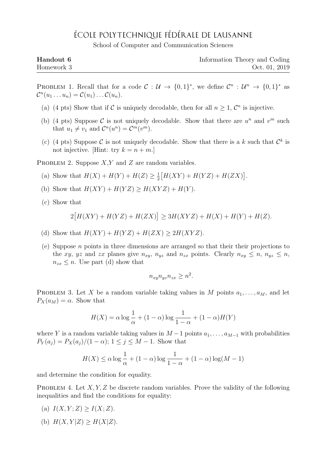## ÉCOLE POLYTECHNIQUE FÉDÉRALE DE LAUSANNE

School of Computer and Communication Sciences

| Handout 6  | Information Theory and Coding |
|------------|-------------------------------|
| Homework 3 | Oct. 01, 2019                 |

PROBLEM 1. Recall that for a code  $C: U \to \{0,1\}^*$ , we define  $C^n: U^n \to \{0,1\}^*$  as  $\mathcal{C}^n(u_1 \ldots u_n) = \mathcal{C}(u_1) \ldots \mathcal{C}(u_n).$ 

- (a) (4 pts) Show that if C is uniquely decodable, then for all  $n \geq 1$ ,  $\mathcal{C}^n$  is injective.
- (b) (4 pts) Suppose C is not uniquely decodable. Show that there are  $u^n$  and  $v^m$  such that  $u_1 \neq v_1$  and  $\mathcal{C}^n(u^n) = \mathcal{C}^m(v^m)$ .
- (c) (4 pts) Suppose C is not uniquely decodable. Show that there is a k such that  $\mathcal{C}^k$  is not injective. [Hint: try  $k = n + m$ .]

PROBLEM 2. Suppose  $X, Y$  and  $Z$  are random variables.

- (a) Show that  $H(X) + H(Y) + H(Z) \geq \frac{1}{2}$  $\frac{1}{2}[H(XY) + H(YZ) + H(ZX)].$
- (b) Show that  $H(XY) + H(YZ) \ge H(XYZ) + H(Y)$ .
- (c) Show that

$$
2[H(XY) + H(YZ) + H(ZX)] \ge 3H(XYZ) + H(X) + H(Y) + H(Z).
$$

- (d) Show that  $H(XY) + H(YZ) + H(ZX) \geq 2H(XYZ)$ .
- (e) Suppose  $n$  points in three dimensions are arranged so that their their projections to the xy, yz and zx planes give  $n_{xy}$ ,  $n_{yz}$  and  $n_{zx}$  points. Clearly  $n_{xy} \leq n$ ,  $n_{yz} \leq n$ ,  $n_{zx} \leq n$ . Use part (d) show that

$$
n_{xy}n_{yz}n_{zx} \ge n^2.
$$

PROBLEM 3. Let X be a random variable taking values in M points  $a_1, \ldots, a_M$ , and let  $P_X(a_M) = \alpha$ . Show that

$$
H(X) = \alpha \log \frac{1}{\alpha} + (1 - \alpha) \log \frac{1}{1 - \alpha} + (1 - \alpha)H(Y)
$$

where Y is a random variable taking values in  $M-1$  points  $a_1, \ldots, a_{M-1}$  with probabilities  $P_Y(a_j) = P_X(a_j)/(1-\alpha); 1 \le j \le M-1.$  Show that

$$
H(X) \le \alpha \log \frac{1}{\alpha} + (1 - \alpha) \log \frac{1}{1 - \alpha} + (1 - \alpha) \log(M - 1)
$$

and determine the condition for equality.

PROBLEM 4. Let  $X, Y, Z$  be discrete random variables. Prove the validity of the following inequalities and find the conditions for equality:

- (a)  $I(X, Y; Z) > I(X; Z)$ .
- (b)  $H(X, Y|Z) \geq H(X|Z)$ .